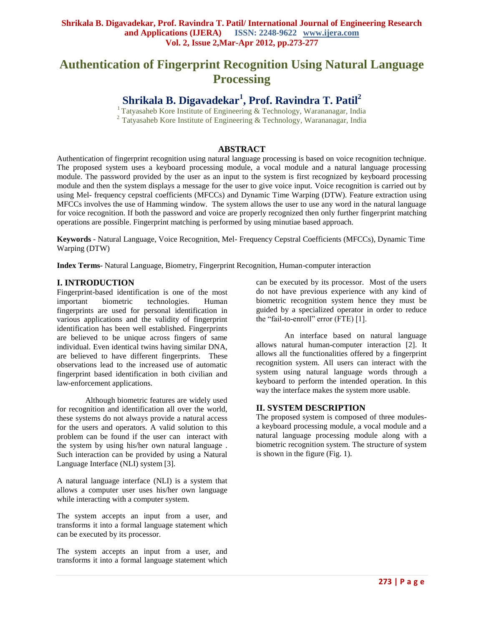# **Authentication of Fingerprint Recognition Using Natural Language Processing**

**Shrikala B. Digavadekar<sup>1</sup> , Prof. Ravindra T. Patil<sup>2</sup>**

<sup>1</sup> Tatyasaheb Kore Institute of Engineering & Technology, Warananagar, India  $2$  Tatyasaheb Kore Institute of Engineering & Technology, Warananagar, India

# **ABSTRACT**

Authentication of fingerprint recognition using natural language processing is based on voice recognition technique. The proposed system uses a keyboard processing module, a vocal module and a natural language processing module. The password provided by the user as an input to the system is first recognized by keyboard processing module and then the system displays a message for the user to give voice input. Voice recognition is carried out by using Mel- frequency cepstral coefficients (MFCCs) and Dynamic Time Warping (DTW). Feature extraction using MFCCs involves the use of Hamming window. The system allows the user to use any word in the natural language for voice recognition. If both the password and voice are properly recognized then only further fingerprint matching operations are possible. Fingerprint matching is performed by using minutiae based approach.

**Keywords -** Natural Language, Voice Recognition, Mel- Frequency Cepstral Coefficients (MFCCs), Dynamic Time Warping (DTW)

**Index Terms-** Natural Language, Biometry, Fingerprint Recognition, Human-computer interaction

# **I. INTRODUCTION**

Fingerprint-based identification is one of the most important biometric technologies. Human fingerprints are used for personal identification in various applications and the validity of fingerprint identification has been well established. Fingerprints are believed to be unique across fingers of same individual. Even identical twins having similar DNA, are believed to have different fingerprints. These observations lead to the increased use of automatic fingerprint based identification in both civilian and law-enforcement applications.

Although biometric features are widely used for recognition and identification all over the world, these systems do not always provide a natural access for the users and operators. A valid solution to this problem can be found if the user can interact with the system by using his/her own natural language . Such interaction can be provided by using a Natural Language Interface (NLI) system [3].

A natural language interface (NLI) is a system that allows a computer user uses his/her own language while interacting with a computer system.

The system accepts an input from a user, and transforms it into a formal language statement which can be executed by its processor.

The system accepts an input from a user, and transforms it into a formal language statement which can be executed by its processor. Most of the users do not have previous experience with any kind of biometric recognition system hence they must be guided by a specialized operator in order to reduce the "fail-to-enroll" error (FTE) [1].

An interface based on natural language allows natural human-computer interaction [2]. It allows all the functionalities offered by a fingerprint recognition system. All users can interact with the system using natural language words through a keyboard to perform the intended operation. In this way the interface makes the system more usable.

# **II. SYSTEM DESCRIPTION**

The proposed system is composed of three modulesa keyboard processing module, a vocal module and a natural language processing module along with a biometric recognition system. The structure of system is shown in the figure (Fig. 1).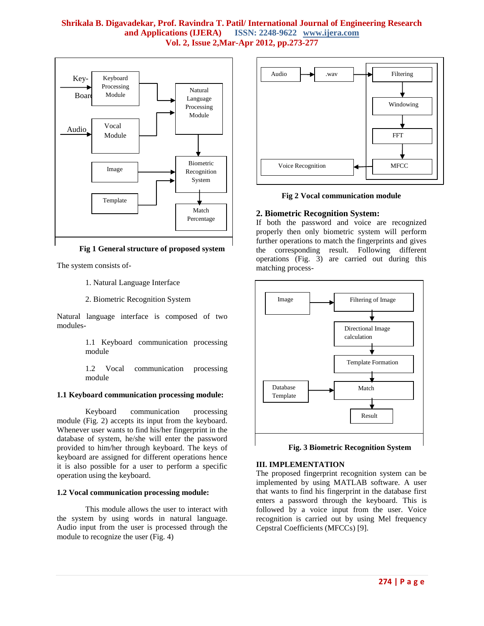

#### **Fig 1 General structure of proposed system**

The system consists of-

- 1. Natural Language Interface
- 2. Biometric Recognition System

Natural language interface is composed of two modules-

> 1.1 Keyboard communication processing module

> 1.2 Vocal communication processing module

#### **1.1 Keyboard communication processing module:**

Keyboard communication processing module (Fig. 2) accepts its input from the keyboard. Whenever user wants to find his/her fingerprint in the database of system, he/she will enter the password provided to him/her through keyboard. The keys of keyboard are assigned for different operations hence it is also possible for a user to perform a specific operation using the keyboard.

#### **1.2 Vocal communication processing module:**

This module allows the user to interact with the system by using words in natural language. Audio input from the user is processed through the module to recognize the user (Fig. 4)



**Fig 2 Vocal communication module**

# **2. Biometric Recognition System:**

If both the password and voice are recognized properly then only biometric system will perform further operations to match the fingerprints and gives the corresponding result. Following different operations (Fig. 3) are carried out during this matching process-



**Fig. 3 Biometric Recognition System**

#### **III. IMPLEMENTATION**

The proposed fingerprint recognition system can be implemented by using MATLAB software. A user that wants to find his fingerprint in the database first enters a password through the keyboard. This is followed by a voice input from the user. Voice recognition is carried out by using Mel frequency Cepstral Coefficients (MFCCs) [9].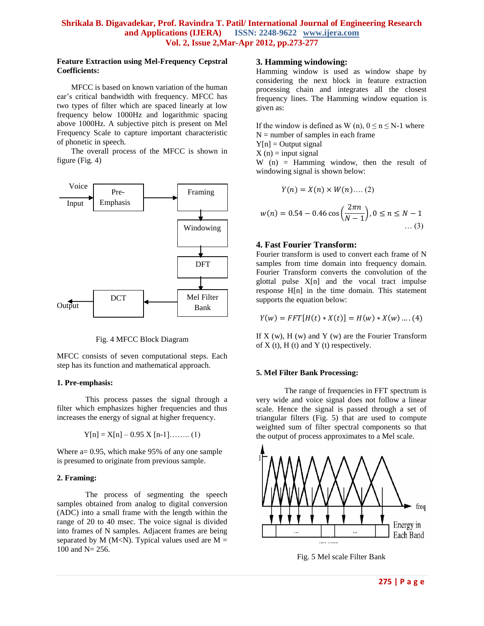## **Feature Extraction using Mel-Frequency Cepstral Coefficients:**

MFCC is based on known variation of the human ear"s critical bandwidth with frequency. MFCC has two types of filter which are spaced linearly at low frequency below 1000Hz and logarithmic spacing above 1000Hz. A subjective pitch is present on Mel Frequency Scale to capture important characteristic of phonetic in speech.

The overall process of the MFCC is shown in figure (Fig. 4)



Fig. 4 MFCC Block Diagram

MFCC consists of seven computational steps. Each step has its function and mathematical approach.

## **1. Pre-emphasis:**

This process passes the signal through a filter which emphasizes higher frequencies and thus increases the energy of signal at higher frequency.

$$
Y[n] = X[n] - 0.95 X[n-1] \dots (1)
$$

Where a= 0.95, which make 95% of any one sample is presumed to originate from previous sample.

# **2. Framing:**

The process of segmenting the speech samples obtained from analog to digital conversion (ADC) into a small frame with the length within the range of 20 to 40 msec. The voice signal is divided into frames of N samples. Adjacent frames are being separated by M (M<N). Typical values used are  $M =$ 100 and N= 256.

### **3. Hamming windowing:**

Hamming window is used as window shape by considering the next block in feature extraction processing chain and integrates all the closest frequency lines. The Hamming window equation is given as:

If the window is defined as W (n),  $0 \le n \le N-1$  where  $N =$  number of samples in each frame

 $Y[n] =$  Output signal

 $X(n) = input signal$ 

W  $(n)$  = Hamming window, then the result of windowing signal is shown below:

$$
Y(n) = X(n) \times W(n) \dots (2)
$$

$$
w(n) = 0.54 - 0.46 \cos\left(\frac{2\pi n}{N-1}\right), 0 \le n \le N-1
$$
 ... (3)

# **4. Fast Fourier Transform:**

Fourier transform is used to convert each frame of N samples from time domain into frequency domain. Fourier Transform converts the convolution of the glottal pulse X[n] and the vocal tract impulse response H[n] in the time domain. This statement supports the equation below:

$$
Y(w) = FFT[H(t) * X(t)] = H(w) * X(w) .... (4)
$$

If  $X$  (w),  $H$  (w) and  $Y$  (w) are the Fourier Transform of  $X(t)$ ,  $H(t)$  and  $Y(t)$  respectively.

#### **5. Mel Filter Bank Processing:**

The range of frequencies in FFT spectrum is very wide and voice signal does not follow a linear scale. Hence the signal is passed through a set of triangular filters (Fig. 5) that are used to compute weighted sum of filter spectral components so that the output of process approximates to a Mel scale.



Fig. 5 Mel scale Filter Bank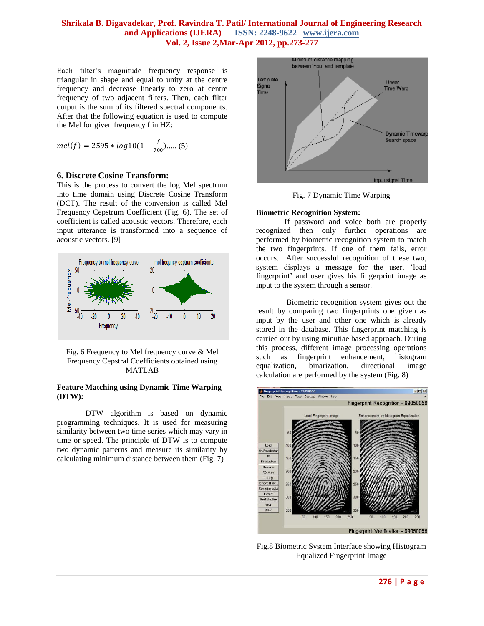Each filter's magnitude frequency response is triangular in shape and equal to unity at the centre frequency and decrease linearly to zero at centre frequency of two adjacent filters. Then, each filter output is the sum of its filtered spectral components. After that the following equation is used to compute the Mel for given frequency f in HZ:

$$
mel(f) = 2595 * log 10(1 + \frac{f}{700})....(5)
$$

#### **6. Discrete Cosine Transform:**

This is the process to convert the log Mel spectrum into time domain using Discrete Cosine Transform (DCT). The result of the conversion is called Mel Frequency Cepstrum Coefficient (Fig. 6). The set of coefficient is called acoustic vectors. Therefore, each input utterance is transformed into a sequence of acoustic vectors. [9]



Fig. 6 Frequency to Mel frequency curve & Mel Frequency Cepstral Coefficients obtained using MATLAB

#### **Feature Matching using Dynamic Time Warping (DTW):**

DTW algorithm is based on dynamic programming techniques. It is used for measuring similarity between two time series which may vary in time or speed. The principle of DTW is to compute two dynamic patterns and measure its similarity by calculating minimum distance between them (Fig. 7)



Fig. 7 Dynamic Time Warping

#### **Biometric Recognition System:**

If password and voice both are properly recognized then only further operations are performed by biometric recognition system to match the two fingerprints. If one of them fails, error occurs. After successful recognition of these two, system displays a message for the user, "load fingerprint' and user gives his fingerprint image as input to the system through a sensor.

Biometric recognition system gives out the result by comparing two fingerprints one given as input by the user and other one which is already stored in the database. This fingerprint matching is carried out by using minutiae based approach. During this process, different image processing operations such as fingerprint enhancement, histogram equalization, binarization, directional image calculation are performed by the system (Fig. 8)



Fig.8 Biometric System Interface showing Histogram Equalized Fingerprint Image